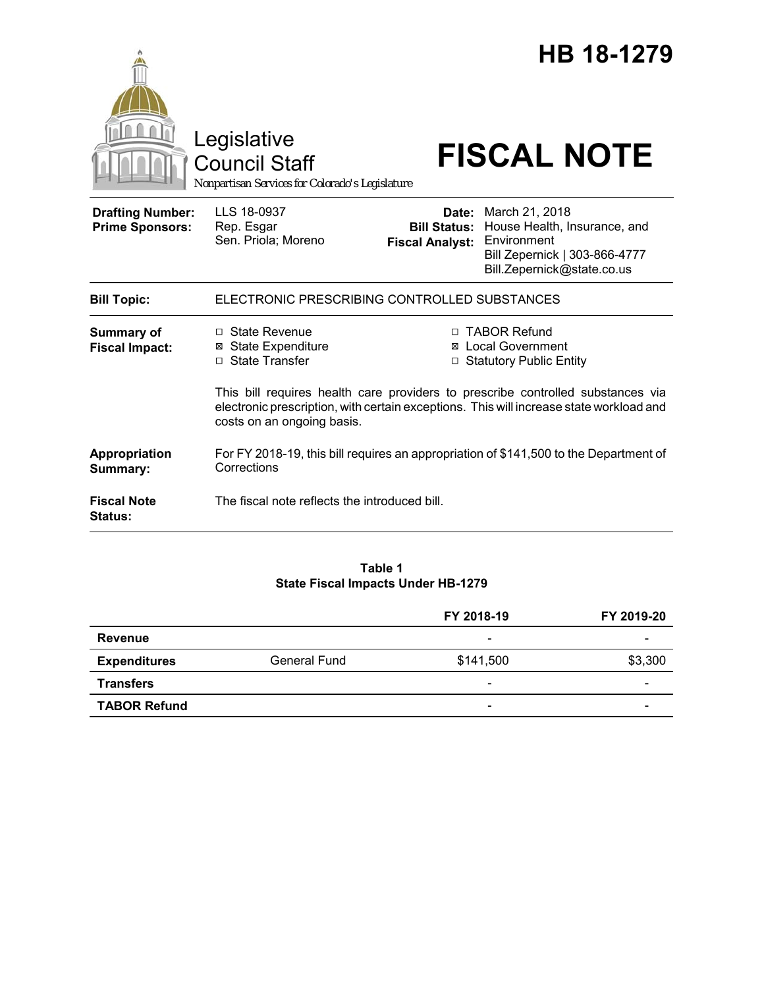|                                                   | Legislative<br><b>Council Staff</b><br>Nonpartisan Services for Colorado's Legislature                                |                        | HB 18-1279<br><b>FISCAL NOTE</b>                                                                                                                          |  |  |
|---------------------------------------------------|-----------------------------------------------------------------------------------------------------------------------|------------------------|-----------------------------------------------------------------------------------------------------------------------------------------------------------|--|--|
| <b>Drafting Number:</b><br><b>Prime Sponsors:</b> | LLS 18-0937<br>Rep. Esgar<br>Sen. Priola; Moreno                                                                      | <b>Fiscal Analyst:</b> | <b>Date:</b> March 21, 2018<br>Bill Status: House Health, Insurance, and<br>Environment<br>Bill Zepernick   303-866-4777<br>Bill.Zepernick@state.co.us    |  |  |
| <b>Bill Topic:</b>                                | ELECTRONIC PRESCRIBING CONTROLLED SUBSTANCES                                                                          |                        |                                                                                                                                                           |  |  |
| <b>Summary of</b><br><b>Fiscal Impact:</b>        | $\Box$ State Revenue<br><b>⊠</b> State Expenditure<br>□ State Transfer                                                |                        | □ TABOR Refund<br><b>Local Government</b><br>□ Statutory Public Entity<br>This bill requires health care providers to prescribe controlled substances via |  |  |
|                                                   | electronic prescription, with certain exceptions. This will increase state workload and<br>costs on an ongoing basis. |                        |                                                                                                                                                           |  |  |
| Appropriation<br>Summary:                         | For FY 2018-19, this bill requires an appropriation of \$141,500 to the Department of<br>Corrections                  |                        |                                                                                                                                                           |  |  |
| <b>Fiscal Note</b><br><b>Status:</b>              | The fiscal note reflects the introduced bill.                                                                         |                        |                                                                                                                                                           |  |  |

### **Table 1 State Fiscal Impacts Under HB-1279**

|                     |              | FY 2018-19               | FY 2019-20 |
|---------------------|--------------|--------------------------|------------|
| Revenue             |              | -                        |            |
| <b>Expenditures</b> | General Fund | \$141,500                | \$3,300    |
| <b>Transfers</b>    |              | -                        |            |
| <b>TABOR Refund</b> |              | $\overline{\phantom{0}}$ |            |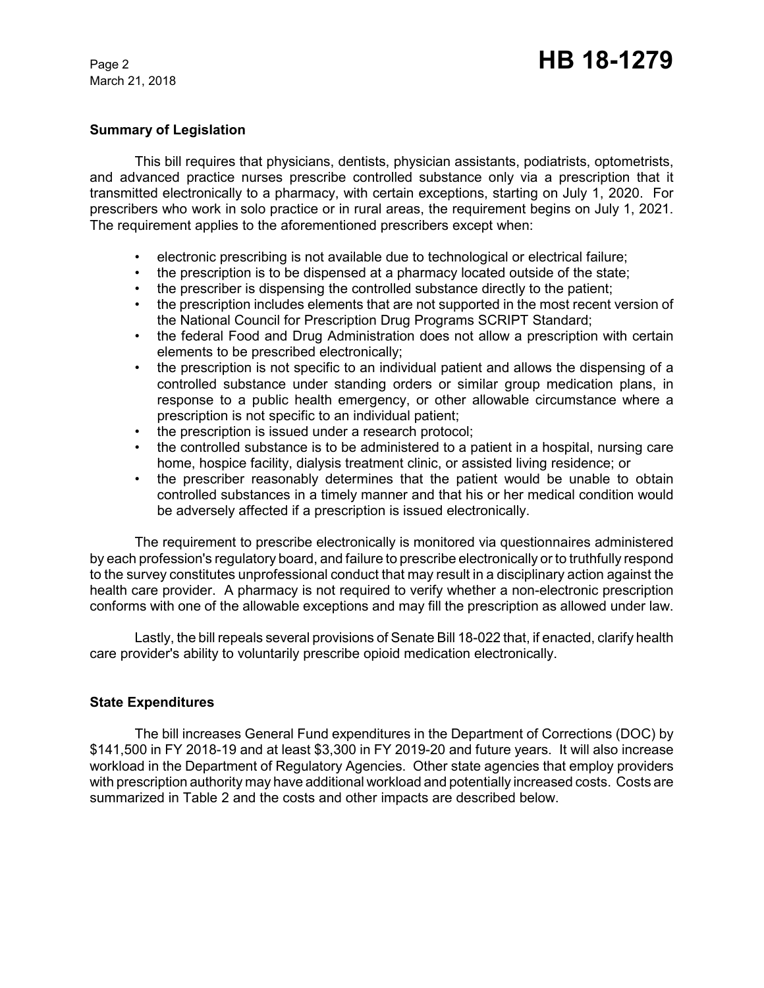March 21, 2018

### **Summary of Legislation**

This bill requires that physicians, dentists, physician assistants, podiatrists, optometrists, and advanced practice nurses prescribe controlled substance only via a prescription that it transmitted electronically to a pharmacy, with certain exceptions, starting on July 1, 2020. For prescribers who work in solo practice or in rural areas, the requirement begins on July 1, 2021. The requirement applies to the aforementioned prescribers except when:

- electronic prescribing is not available due to technological or electrical failure;
- the prescription is to be dispensed at a pharmacy located outside of the state;
- the prescriber is dispensing the controlled substance directly to the patient;
- the prescription includes elements that are not supported in the most recent version of the National Council for Prescription Drug Programs SCRIPT Standard;
- the federal Food and Drug Administration does not allow a prescription with certain elements to be prescribed electronically;
- the prescription is not specific to an individual patient and allows the dispensing of a controlled substance under standing orders or similar group medication plans, in response to a public health emergency, or other allowable circumstance where a prescription is not specific to an individual patient;
- the prescription is issued under a research protocol;
- the controlled substance is to be administered to a patient in a hospital, nursing care home, hospice facility, dialysis treatment clinic, or assisted living residence; or
- the prescriber reasonably determines that the patient would be unable to obtain controlled substances in a timely manner and that his or her medical condition would be adversely affected if a prescription is issued electronically.

The requirement to prescribe electronically is monitored via questionnaires administered by each profession's regulatory board, and failure to prescribe electronically or to truthfully respond to the survey constitutes unprofessional conduct that may result in a disciplinary action against the health care provider. A pharmacy is not required to verify whether a non-electronic prescription conforms with one of the allowable exceptions and may fill the prescription as allowed under law.

Lastly, the bill repeals several provisions of Senate Bill 18-022 that, if enacted, clarify health care provider's ability to voluntarily prescribe opioid medication electronically.

# **State Expenditures**

The bill increases General Fund expenditures in the Department of Corrections (DOC) by \$141,500 in FY 2018-19 and at least \$3,300 in FY 2019-20 and future years. It will also increase workload in the Department of Regulatory Agencies. Other state agencies that employ providers with prescription authority may have additional workload and potentially increased costs. Costs are summarized in Table 2 and the costs and other impacts are described below.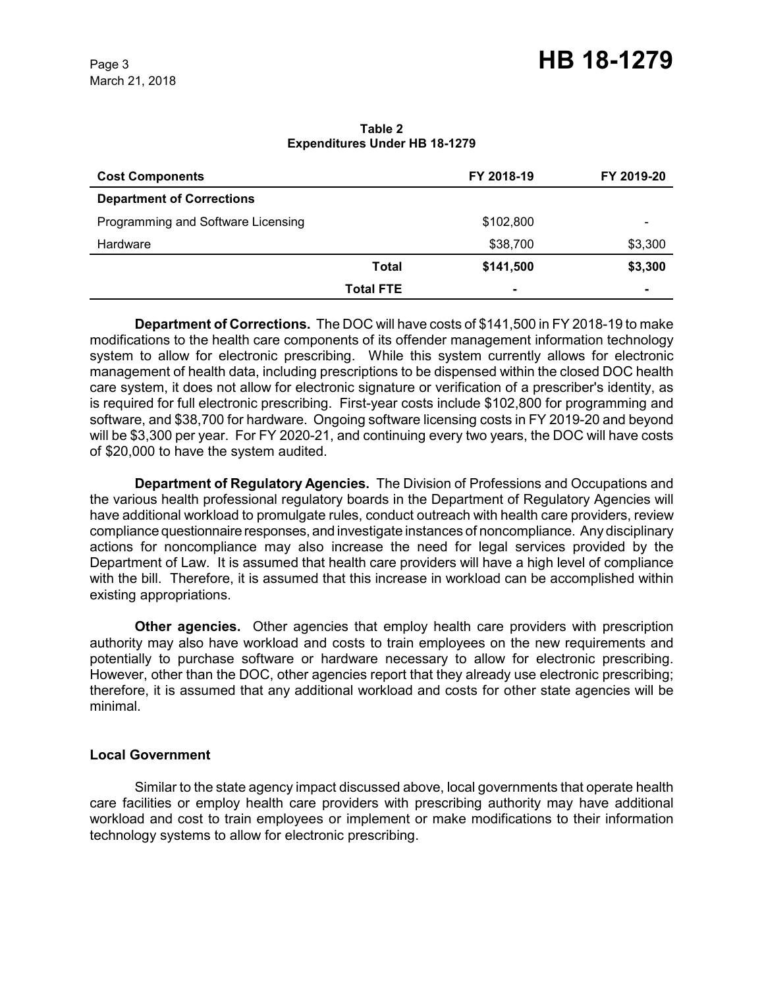**Table 2 Expenditures Under HB 18-1279**

| <b>Cost Components</b>             |                  | FY 2018-19     | FY 2019-20 |
|------------------------------------|------------------|----------------|------------|
| <b>Department of Corrections</b>   |                  |                |            |
| Programming and Software Licensing |                  | \$102,800      | -          |
| Hardware                           |                  | \$38,700       | \$3,300    |
|                                    | <b>Total</b>     | \$141,500      | \$3,300    |
|                                    | <b>Total FTE</b> | $\blacksquare$ | -          |

**Department of Corrections.** The DOC will have costs of \$141,500 in FY 2018-19 to make modifications to the health care components of its offender management information technology system to allow for electronic prescribing. While this system currently allows for electronic management of health data, including prescriptions to be dispensed within the closed DOC health care system, it does not allow for electronic signature or verification of a prescriber's identity, as is required for full electronic prescribing. First-year costs include \$102,800 for programming and software, and \$38,700 for hardware. Ongoing software licensing costs in FY 2019-20 and beyond will be \$3,300 per year. For FY 2020-21, and continuing every two years, the DOC will have costs of \$20,000 to have the system audited.

**Department of Regulatory Agencies.** The Division of Professions and Occupations and the various health professional regulatory boards in the Department of Regulatory Agencies will have additional workload to promulgate rules, conduct outreach with health care providers, review compliance questionnaire responses, and investigate instances of noncompliance. Any disciplinary actions for noncompliance may also increase the need for legal services provided by the Department of Law. It is assumed that health care providers will have a high level of compliance with the bill. Therefore, it is assumed that this increase in workload can be accomplished within existing appropriations.

**Other agencies.** Other agencies that employ health care providers with prescription authority may also have workload and costs to train employees on the new requirements and potentially to purchase software or hardware necessary to allow for electronic prescribing. However, other than the DOC, other agencies report that they already use electronic prescribing; therefore, it is assumed that any additional workload and costs for other state agencies will be minimal.

# **Local Government**

Similar to the state agency impact discussed above, local governments that operate health care facilities or employ health care providers with prescribing authority may have additional workload and cost to train employees or implement or make modifications to their information technology systems to allow for electronic prescribing.